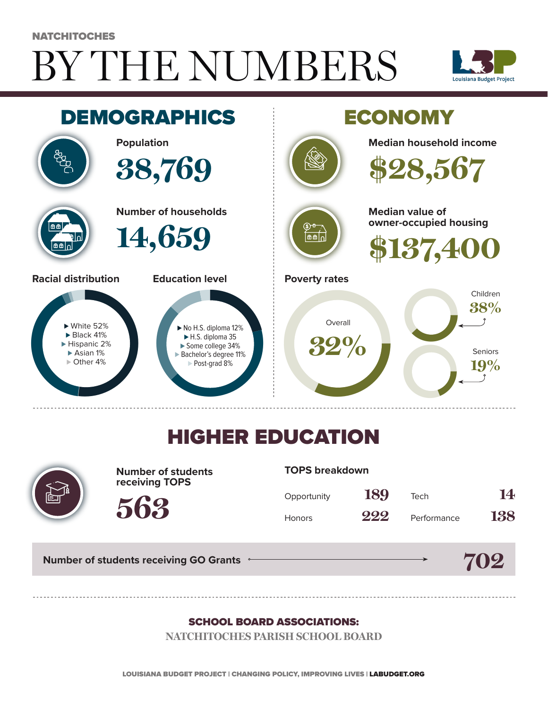# BY THE NUMBERS **NATCHITOCHES**





## HIGHER EDUCATION



**Number of students receiving TOPS**

#### **TOPS breakdown**

| Opportunity   | 189 | Tech        | 14  |
|---------------|-----|-------------|-----|
| <b>Honors</b> | 222 | Performance | 138 |

**Number of students receiving GO Grants**

**563**



#### SCHOOL BOARD ASSOCIATIONS:

**NATCHITOCHES PARISH SCHOOL BOARD**

LOUISIANA BUDGET PROJECT | CHANGING POLICY, IMPROVING LIVES | LABUDGET.ORG